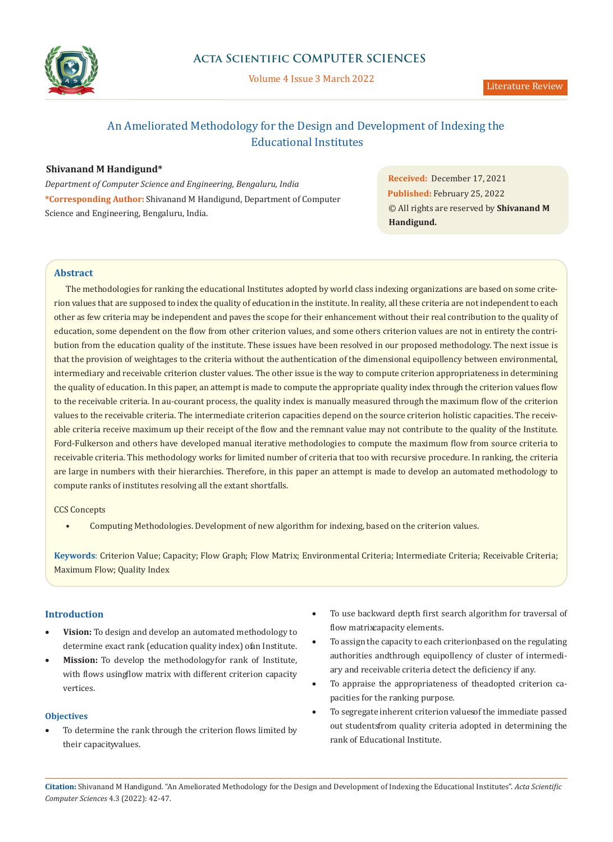

# An Ameliorated Methodology for the Design and Development of Indexing the Educational Institutes

# **Shivanand M Handigund\***

*Department of Computer Science and Engineering, Bengaluru, India* **\*Corresponding Author:** Shivanand M Handigund, Department of Computer Science and Engineering, Bengaluru, India.

**Received:** December 17, 2021 **Published:** February 25, 2022 © All rights are reserved by **Shivanand M Handigund.**

# **Abstract**

The methodologies for ranking the educational Institutes adopted by world class indexing organizations are based on some criterion values that are supposed to index the quality of education in the institute. In reality, all these criteria are not independent to each other as few criteria may be independent and paves the scope for their enhancement without their real contribution to the quality of education, some dependent on the flow from other criterion values, and some others criterion values are not in entirety the contribution from the education quality of the institute. These issues have been resolved in our proposed methodology. The next issue is that the provision of weightages to the criteria without the authentication of the dimensional equipollency between environmental, intermediary and receivable criterion cluster values. The other issue is the way to compute criterion appropriateness in determining the quality of education. In this paper, an attempt is made to compute the appropriate quality index through the criterion values flow to the receivable criteria. In au-courant process, the quality index is manually measured through the maximum flow of the criterion values to the receivable criteria. The intermediate criterion capacities depend on the source criterion holistic capacities. The receivable criteria receive maximum up their receipt of the flow and the remnant value may not contribute to the quality of the Institute. Ford-Fulkerson and others have developed manual iterative methodologies to compute the maximum flow from source criteria to receivable criteria. This methodology works for limited number of criteria that too with recursive procedure. In ranking, the criteria are large in numbers with their hierarchies. Therefore, in this paper an attempt is made to develop an automated methodology to compute ranks of institutes resolving all the extant shortfalls.

CCS Concepts

• Computing Methodologies. Development of new algorithm for indexing, based on the criterion values.

**Keywords**: Criterion Value; Capacity; Flow Graph; Flow Matrix; Environmental Criteria; Intermediate Criteria; Receivable Criteria; Maximum Flow; Quality Index

# **Introduction**

- Vision: To design and develop an automated methodology to determine exact rank (education quality index) of an Institute.
- **Mission:** To develop the methodology for rank of Institute, with flows using flow matrix with different criterion capacity vertices.

### **Objectives**

To determine the rank through the criterion flows limited by their capacitwalues.

- To use backward depth first search algorithm for traversal of flow matrix capacity elements.
- To assign the capacity to each criterion, based on the regulating authorities and through equipollency of cluster of intermediary and receivable criteria detect the deficiency if any.
- To appraise the appropriateness of the adopted criterion capacities for the ranking purpose.
- To segregate inherent criterion values of the immediate passed out students from quality criteria adopted in determining the rank of Educational Institute.

**Citation:** Shivanand M Handigund*.* "An Ameliorated Methodology for the Design and Development of Indexing the Educational Institutes". *Acta Scientific Computer Sciences* 4.3 (2022): 42-47.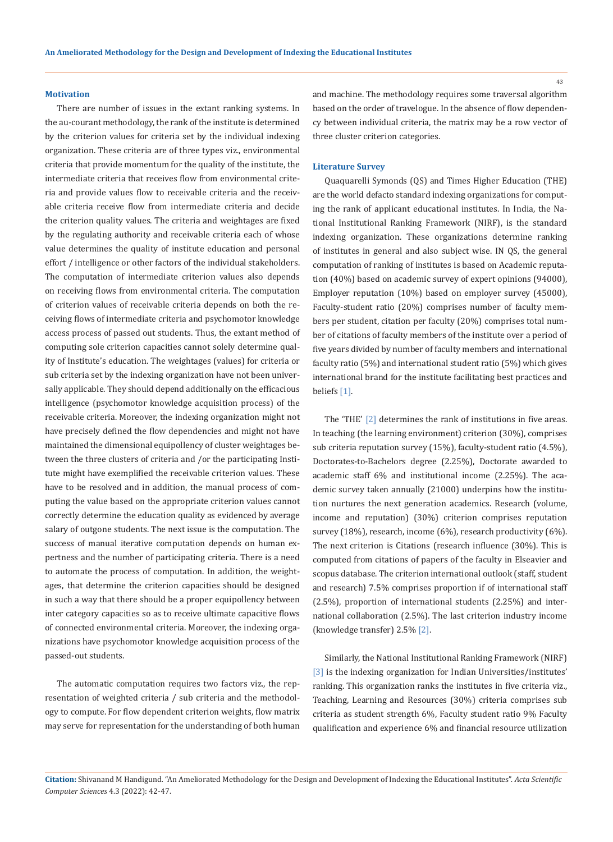#### **Motivation**

There are number of issues in the extant ranking systems. In the au-courant methodology, the rank of the institute is determined by the criterion values for criteria set by the individual indexing organization. These criteria are of three types viz., environmental criteria that provide momentum for the quality of the institute, the intermediate criteria that receives flow from environmental criteria and provide values flow to receivable criteria and the receivable criteria receive flow from intermediate criteria and decide the criterion quality values. The criteria and weightages are fixed by the regulating authority and receivable criteria each of whose value determines the quality of institute education and personal effort / intelligence or other factors of the individual stakeholders. The computation of intermediate criterion values also depends on receiving flows from environmental criteria. The computation of criterion values of receivable criteria depends on both the receiving flows of intermediate criteria and psychomotor knowledge access process of passed out students. Thus, the extant method of computing sole criterion capacities cannot solely determine quality of Institute's education. The weightages (values) for criteria or sub criteria set by the indexing organization have not been universally applicable. They should depend additionally on the efficacious intelligence (psychomotor knowledge acquisition process) of the receivable criteria. Moreover, the indexing organization might not have precisely defined the flow dependencies and might not have maintained the dimensional equipollency of cluster weightages between the three clusters of criteria and /or the participating Institute might have exemplified the receivable criterion values. These have to be resolved and in addition, the manual process of computing the value based on the appropriate criterion values cannot correctly determine the education quality as evidenced by average salary of outgone students. The next issue is the computation. The success of manual iterative computation depends on human expertness and the number of participating criteria. There is a need to automate the process of computation. In addition, the weightages, that determine the criterion capacities should be designed in such a way that there should be a proper equipollency between inter category capacities so as to receive ultimate capacitive flows of connected environmental criteria. Moreover, the indexing organizations have psychomotor knowledge acquisition process of the passed-out students.

The automatic computation requires two factors viz., the representation of weighted criteria / sub criteria and the methodology to compute. For flow dependent criterion weights, flow matrix may serve for representation for the understanding of both human

and machine. The methodology requires some traversal algorithm based on the order of travelogue. In the absence of flow dependency between individual criteria, the matrix may be a row vector of three cluster criterion categories.

#### **Literature Survey**

Quaquarelli Symonds (QS) and Times Higher Education (THE) are the world defacto standard indexing organizations for computing the rank of applicant educational institutes. In India, the National Institutional Ranking Framework (NIRF), is the standard indexing organization. These organizations determine ranking of institutes in general and also subject wise. IN QS, the general computation of ranking of institutes is based on Academic reputation (40%) based on academic survey of expert opinions (94000), Employer reputation (10%) based on employer survey (45000), Faculty-student ratio (20%) comprises number of faculty members per student, citation per faculty (20%) comprises total number of citations of faculty members of the institute over a period of five years divided by number of faculty members and international faculty ratio (5%) and international student ratio (5%) which gives international brand for the institute facilitating best practices and beliefs [1].

The 'THE' [2] determines the rank of institutions in five areas. In teaching (the learning environment) criterion (30%), comprises sub criteria reputation survey (15%), faculty-student ratio (4.5%), Doctorates-to-Bachelors degree (2.25%), Doctorate awarded to academic staff 6% and institutional income (2.25%). The academic survey taken annually (21000) underpins how the institution nurtures the next generation academics. Research (volume, income and reputation) (30%) criterion comprises reputation survey (18%), research, income (6%), research productivity (6%). The next criterion is Citations (research influence (30%). This is computed from citations of papers of the faculty in Elseavier and scopus database. The criterion international outlook (staff, student and research) 7.5% comprises proportion if of international staff (2.5%), proportion of international students (2.25%) and international collaboration (2.5%). The last criterion industry income (knowledge transfer) 2.5% [2].

Similarly, the National Institutional Ranking Framework (NIRF) [3] is the indexing organization for Indian Universities/institutes' ranking. This organization ranks the institutes in five criteria viz., Teaching, Learning and Resources (30%) criteria comprises sub criteria as student strength 6%, Faculty student ratio 9% Faculty qualification and experience 6% and financial resource utilization

**Citation:** Shivanand M Handigund*.* "An Ameliorated Methodology for the Design and Development of Indexing the Educational Institutes". *Acta Scientific Computer Sciences* 4.3 (2022): 42-47.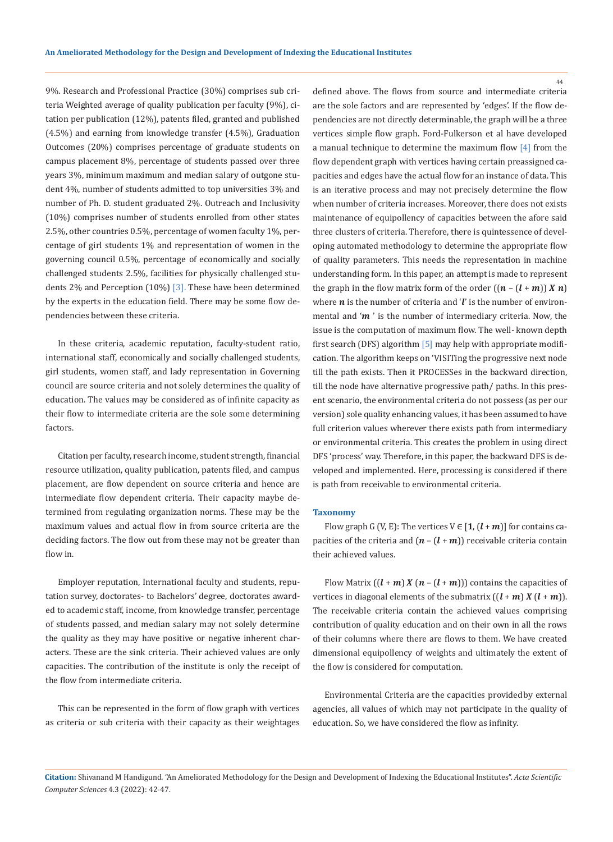9%. Research and Professional Practice (30%) comprises sub criteria Weighted average of quality publication per faculty (9%), citation per publication (12%), patents filed, granted and published (4.5%) and earning from knowledge transfer (4.5%), Graduation Outcomes (20%) comprises percentage of graduate students on campus placement 8%, percentage of students passed over three years 3%, minimum maximum and median salary of outgone student 4%, number of students admitted to top universities 3% and number of Ph. D. student graduated 2%. Outreach and Inclusivity (10%) comprises number of students enrolled from other states 2.5%, other countries 0.5%, percentage of women faculty 1%, percentage of girl students 1% and representation of women in the governing council 0.5%, percentage of economically and socially challenged students 2.5%, facilities for physically challenged students 2% and Perception (10%) [3]. These have been determined by the experts in the education field. There may be some flow dependencies between these criteria.

In these criteria, academic reputation, faculty-student ratio, international staff, economically and socially challenged students, girl students, women staff, and lady representation in Governing council are source criteria and not solely determines the quality of education. The values may be considered as of infinite capacity as their flow to intermediate criteria are the sole some determining factors.

Citation per faculty, research income, student strength, financial resource utilization, quality publication, patents filed, and campus placement, are flow dependent on source criteria and hence are intermediate flow dependent criteria. Their capacity maybe determined from regulating organization norms. These may be the maximum values and actual flow in from source criteria are the deciding factors. The flow out from these may not be greater than flow in.

Employer reputation, International faculty and students, reputation survey, doctorates- to Bachelors' degree, doctorates awarded to academic staff, income, from knowledge transfer, percentage of students passed, and median salary may not solely determine the quality as they may have positive or negative inherent characters. These are the sink criteria. Their achieved values are only capacities. The contribution of the institute is only the receipt of the flow from intermediate criteria.

This can be represented in the form of flow graph with vertices as criteria or sub criteria with their capacity as their weightages defined above. The flows from source and intermediate criteria are the sole factors and are represented by 'edges'. If the flow dependencies are not directly determinable, the graph will be a three vertices simple flow graph. Ford-Fulkerson et al have developed a manual technique to determine the maximum flow [4] from the flow dependent graph with vertices having certain preassigned capacities and edges have the actual flow for an instance of data. This is an iterative process and may not precisely determine the flow when number of criteria increases. Moreover, there does not exists maintenance of equipollency of capacities between the afore said three clusters of criteria. Therefore, there is quintessence of developing automated methodology to determine the appropriate flow of quality parameters. This needs the representation in machine understanding form. In this paper, an attempt is made to represent the graph in the flow matrix form of the order  $((n - (l + m)) X n)$ where  $n$  is the number of criteria and ' $\ell$ ' is the number of environmental and ' $m$ ' is the number of intermediary criteria. Now, the issue is the computation of maximum flow. The well- known depth first search (DFS) algorithm [5] may help with appropriate modification. The algorithm keeps on 'VISITing the progressive next node till the path exists. Then it PROCESSes in the backward direction, till the node have alternative progressive path/ paths. In this present scenario, the environmental criteria do not possess (as per our version) sole quality enhancing values, it has been assumed to have full criterion values wherever there exists path from intermediary or environmental criteria. This creates the problem in using direct DFS 'process' way. Therefore, in this paper, the backward DFS is developed and implemented. Here, processing is considered if there is path from receivable to environmental criteria.

#### **Taxonomy**

Flow graph G (V, E): The vertices  $V \in [1, (l+m)]$  for contains capacities of the criteria and  $(n - (l + m))$  receivable criteria contain their achieved values.

Flow Matrix  $((l + m) X (n - (l + m)))$  contains the capacities of vertices in diagonal elements of the submatrix  $((l + m) X (l + m))$ . The receivable criteria contain the achieved values comprising contribution of quality education and on their own in all the rows of their columns where there are flows to them. We have created dimensional equipollency of weights and ultimately the extent of the flow is considered for computation.

Environmental Criteria are the capacities provided by external agencies, all values of which may not participate in the quality of education. So, we have considered the flow as infinity.

**Citation:** Shivanand M Handigund*.* "An Ameliorated Methodology for the Design and Development of Indexing the Educational Institutes". *Acta Scientific Computer Sciences* 4.3 (2022): 42-47.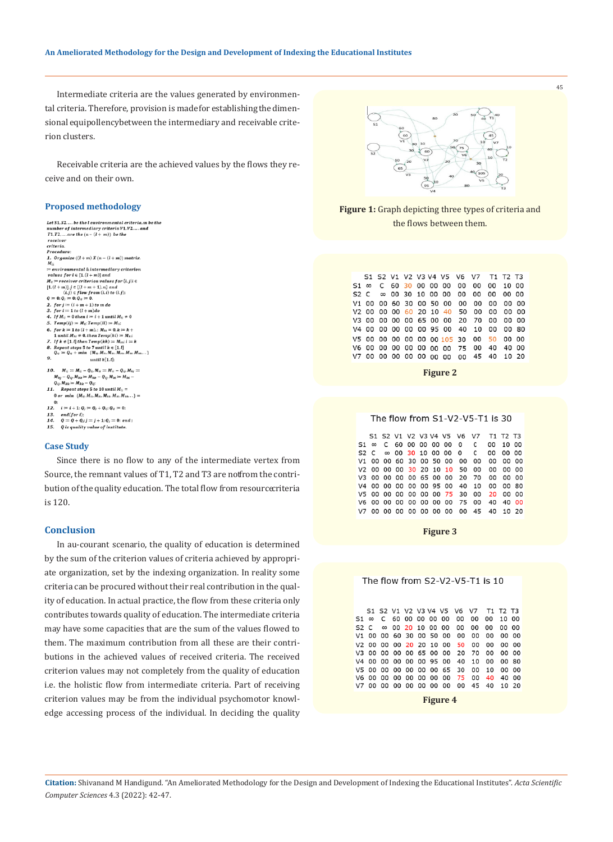Intermediate criteria are the values generated by environmental criteria. Therefore, provision is made for establishing the dimensional equipollency between the intermediary and receivable criterion clusters.

Receivable criteria are the achieved values by the flows they receive and on their own.

#### **Proposed methodology**

```
Let S1.52, ... . be the 1 environmental criteria, m be the<br>number of intermediary criteria V1, V2, ... and<br>T1.T2, ... . are the (n - (1 + m)) be the
   receiver
   criteria
  Procedure
Procedure:<br>
M_{ii}<br>
M_{ii}<br>
M_{ii}<br>
M_{ii}<br>
m environmental & intermediary criterion<br>
m<br>
m enters for i \in [1,(1+m)] and<br>
M_{ij} = receiver criterion values for \{i,j|i \in [1,(1+m),1] \}<br>
\{i,j\} \in \{low \} from \{i,j\}, \{j\2. for j := (i + m + 1) to m do<br>3. for i = 1 to (l + m) do4. If M_{ii} = 0 then i = i + 1 until M_{ii} \neq 0Temp(ij) = M_{ij}; Temp(ii) = M_{ii}6. for k := 1 to (l + m).: M_{ki} = 0, k := k1 until M_{ki} \neq 0, then Temp(ki) = M_{ki}1. If k \in [1,1] then Temp(kk) = M_{kk}; k \in K<br>
8. Repeat steps 5 to 7 until k \in [1,1]<br>
Q_{ij} := Q_{ij} + min \{M_{ij}, M_{kl}, M_{kl}, M_{kk}, M_{kl}, M_{kl}, \ldots\}\circuntil k[1, l]a M_{ij} := M_{ij} - Q_{ij}, M_{ii} := M_{ii} - Q_{ij}, M_{kj} - Q_{ij}, M_{kk} := M_{kk} - Q_{ij}, M_{ki} := M_{ki}.
  10
         Q_{ij}, M_{kk} = M_{kk} - Q_{ij};
         Repeat steps 5 to 10 until <math>M_{ij}</math> =<br>0 or min {<math>M_{ij}, M_{ii}, M_{ki}, M_{kk}, M_{kk}...</math>} =\mathbf{0}12. i = i + 1; Q_i = Q_i + Q_{ij}; Q_{ij} = 0;end( for i);<br>
Q := Q + Q_i; j = j + 1; Q_j = 0; and :<br>
Q is quality value of institute.
  13.<br>14.
 15.
                Q is quality value of institute.
```
#### **Case Study**

Since there is no flow to any of the intermediate vertex from Source, the remnant values of T1, T2 and T3 are not from the contribution of the quality education. The total flow from resource criteria is 120.

#### **Conclusion**

In au-courant scenario, the quality of education is determined by the sum of the criterion values of criteria achieved by appropriate organization, set by the indexing organization. In reality some criteria can be procured without their real contribution in the quality of education. In actual practice, the flow from these criteria only contributes towards quality of education. The intermediate criteria may have some capacities that are the sum of the values flowed to them. The maximum contribution from all these are their contributions in the achieved values of received criteria. The received criterion values may not completely from the quality of education i.e. the holistic flow from intermediate criteria. Part of receiving criterion values may be from the individual psychomotor knowledge accessing process of the individual. In deciding the quality



45

**Figure 1:** Graph depicting three types of criteria and the flows between them.

|  |  |  |  |  | S1 S2 V1 V2 V3 V4 V5 V6 V7 T1 T2 T3         |  |  |
|--|--|--|--|--|---------------------------------------------|--|--|
|  |  |  |  |  | $51 \infty$ C 60 30 00 00 00 00 00 00 10 00 |  |  |
|  |  |  |  |  | S2 C ∞ 00 30 10 00 00 00 00 00 00 00        |  |  |
|  |  |  |  |  | V1 00 00 60 30 00 50 00 00 00 00 00 00      |  |  |
|  |  |  |  |  | V2 00 00 00 60 20 10 40 50 00 00 00 00      |  |  |
|  |  |  |  |  | V3 00 00 00 00 65 00 00 20 70 00 00 00      |  |  |
|  |  |  |  |  | V4 00 00 00 00 00 95 00 40 10 00 00 80      |  |  |
|  |  |  |  |  | V5 00 00 00 00 00 00 105 30 00 50 00 00     |  |  |
|  |  |  |  |  | V6 00 00 00 00 00 00 00 75 00 40 40 00      |  |  |
|  |  |  |  |  | V7 00 00 00 00 00 00 00 00 45 40 10 20      |  |  |

**Figure 2**

The flow from S1-V2-V5-T1 is 30

|  |  |  |  |  | S1 S2 V1 V2 V3 V4 V5 V6 V7 T1 T2 T3               |  |
|--|--|--|--|--|---------------------------------------------------|--|
|  |  |  |  |  | $51 \infty$ C 60 00 00 00 00 0 C 00 10 00         |  |
|  |  |  |  |  | $S2 \n C \n \infty$ 00 30 10 00 00 0 $C$ 00 00 00 |  |
|  |  |  |  |  | V1 00 00 60 30 00 50 00 00 00 00 00 00            |  |
|  |  |  |  |  | V2 00 00 00 30 20 10 10 50 00 00 00 00            |  |
|  |  |  |  |  | V3 00 00 00 00 65 00 00 20 70 00 00 00            |  |
|  |  |  |  |  | V4 00 00 00 00 00 95 00 40 10 00 00 80            |  |
|  |  |  |  |  | V5 00 00 00 00 00 00 75 30 00 20 00 00            |  |
|  |  |  |  |  | V6 00 00 00 00 00 00 00 75 00 40 40 00            |  |
|  |  |  |  |  | V7 00 00 00 00 00 00 00 00 45 40 10 20            |  |
|  |  |  |  |  |                                                   |  |

**Figure 3**



**Citation:** Shivanand M Handigund*.* "An Ameliorated Methodology for the Design and Development of Indexing the Educational Institutes". *Acta Scientific Computer Sciences* 4.3 (2022): 42-47.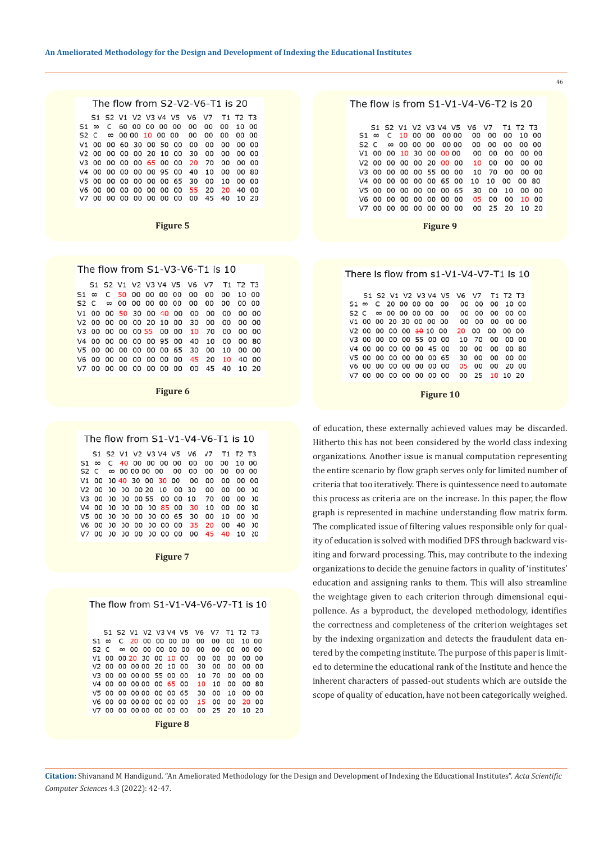| The flow from S2-V2-V6-T1 is 20 |  |  |  |  |  |  |  |  |                                                   |  |  |  |  |
|---------------------------------|--|--|--|--|--|--|--|--|---------------------------------------------------|--|--|--|--|
|                                 |  |  |  |  |  |  |  |  | S1 S2 V1 V2 V3 V4 V5 V6 V7 T1 T2 T3               |  |  |  |  |
|                                 |  |  |  |  |  |  |  |  | $51 \, \infty \,$ C 60 00 00 00 00 00 00 00 10 00 |  |  |  |  |
|                                 |  |  |  |  |  |  |  |  | S2 C ∞ 00 00 10 00 00 00 00 00 00 00              |  |  |  |  |
|                                 |  |  |  |  |  |  |  |  | V1 00 00 60 30 00 50 00 00 00 00 00 00            |  |  |  |  |
|                                 |  |  |  |  |  |  |  |  | V2 00 00 00 00 20 10 00 30 00 00 00 00            |  |  |  |  |
|                                 |  |  |  |  |  |  |  |  | V3 00 00 00 00 65 00 00 20 70 00 00 00            |  |  |  |  |
|                                 |  |  |  |  |  |  |  |  | V4 00 00 00 00 00 95 00 40 10 00 00 80            |  |  |  |  |
|                                 |  |  |  |  |  |  |  |  | V5 00 00 00 00 00 00 65 30 00 10 00 00            |  |  |  |  |
|                                 |  |  |  |  |  |  |  |  | V6 00 00 00 00 00 00 00 55 20 20 40 00            |  |  |  |  |
|                                 |  |  |  |  |  |  |  |  | V7 00 00 00 00 00 00 00 00 45 40 10 20            |  |  |  |  |
|                                 |  |  |  |  |  |  |  |  |                                                   |  |  |  |  |

**Figure 5**

| The flow from S1-V3-V6-T1 is 10 |  |  |  |  |  |  |                                           |  |  |  |  |  |  |  |
|---------------------------------|--|--|--|--|--|--|-------------------------------------------|--|--|--|--|--|--|--|
|                                 |  |  |  |  |  |  | S1 S2 V1 V2 V3 V4 V5 V6 V7 T1 T2 T3       |  |  |  |  |  |  |  |
|                                 |  |  |  |  |  |  |                                           |  |  |  |  |  |  |  |
|                                 |  |  |  |  |  |  |                                           |  |  |  |  |  |  |  |
|                                 |  |  |  |  |  |  | V1 00 00 50 30 00 40 00 00 00 00 00 00 00 |  |  |  |  |  |  |  |
|                                 |  |  |  |  |  |  | V2 00 00 00 00 20 10 00 30 00 00 00 00    |  |  |  |  |  |  |  |
|                                 |  |  |  |  |  |  | V3 00 00 00 00 55 00 00 10 70 00 00 00    |  |  |  |  |  |  |  |
|                                 |  |  |  |  |  |  | V4 00 00 00 00 00 95 00 40 10 00 00 80    |  |  |  |  |  |  |  |
|                                 |  |  |  |  |  |  | V5 00 00 00 00 00 00 65 30 00 10 00 00    |  |  |  |  |  |  |  |
|                                 |  |  |  |  |  |  | V6 00 00 00 00 00 00 00 45 20 10 40 00    |  |  |  |  |  |  |  |
|                                 |  |  |  |  |  |  | V7 00 00 00 00 00 00 00 00 45 40 10 20    |  |  |  |  |  |  |  |

**Figure 6**

#### The flow from S1-V1-V4-V6-T1 is 10

|  |  |  |  | S1 S2 V1 V2 V3 V4 V5 V6 V7 T1 T2 T3                  |  |  |
|--|--|--|--|------------------------------------------------------|--|--|
|  |  |  |  | $51 \infty$ C $40$ 00 00 00 00 00 00 00 00 10 00     |  |  |
|  |  |  |  | S2 C ∞ 00 00 00 00 00 00 00 00 00 00                 |  |  |
|  |  |  |  | V1 00 00 40 30 00 30 00 00 00 00 00 00 00            |  |  |
|  |  |  |  | V2 00 00 00 00 20 10 00 30 00 00 00 00 00            |  |  |
|  |  |  |  | V3 00 00 00 00 55 00 00 10 70 00 00 00               |  |  |
|  |  |  |  | V4 00 00 00 00 00 85 00 30 10 00 00 30               |  |  |
|  |  |  |  | V5 00 00 00 00 00 00 65 30 00 10 00 00               |  |  |
|  |  |  |  | V6 00 00 00 00 00 00 00 35 2 <mark>0</mark> 00 40 00 |  |  |
|  |  |  |  | V7 00 00 00 00 00 00 00 00 45 40 10 20               |  |  |

**Figure 7**

|  |                  |          |  |  |  |                         | The flow from S1-V1-V4-V6-V7-T1 is 10 |    |                         |    |    |          |     |  |
|--|------------------|----------|--|--|--|-------------------------|---------------------------------------|----|-------------------------|----|----|----------|-----|--|
|  |                  |          |  |  |  |                         |                                       |    |                         |    |    |          |     |  |
|  |                  |          |  |  |  |                         |                                       |    | S1 S2 V1 V2 V3 V4 V5 V6 | V7 |    | T1 T2 T3 |     |  |
|  | S1.              | $\infty$ |  |  |  | C 20 00 00 00           |                                       | oo | 00                      | oo | o٥ | 10       | 00  |  |
|  | S <sub>2</sub> C |          |  |  |  | $\infty$ 00 00 00 00 00 |                                       |    | 00                      | 00 | 00 | oο       | 00  |  |
|  | V1               |          |  |  |  | 00 00 20 30 00 10 00    |                                       |    | 00                      | 00 | 00 | 00       | ٥o  |  |
|  |                  |          |  |  |  | V2 00 00 00 00 20 10    |                                       | 00 | 30                      | 00 | oo | oo       | 00  |  |
|  |                  |          |  |  |  | V3 00 00 00 00 55 00    |                                       | 00 | 10                      | 70 | ٥o | o٥       | o٥  |  |
|  | V4               |          |  |  |  | 00 00 00 00 00 65 00    |                                       |    | 10                      | 10 | 00 | oo       | 80  |  |
|  |                  |          |  |  |  | V5 00 00 00 00 00 00 65 |                                       |    | 30                      | 00 | 10 | 00       | nn  |  |
|  | V6.              |          |  |  |  | . 00 .00 .00 00 .00 .00 |                                       | 00 | 15                      | 00 | 00 | 20.      | იი  |  |
|  | V7               |          |  |  |  | 00 00 00 00 00 0        | 00                                    | ററ | o٥                      | 25 | 20 | 10       | -20 |  |
|  |                  |          |  |  |  |                         | <b>Figure 8</b>                       |    |                         |    |    |          |     |  |

|  |  | The flow is from $S1-V1-V4-V6-T2$ is 20 |
|--|--|-----------------------------------------|
|--|--|-----------------------------------------|

S1 S2 V1 V2 V3 V4 V5<br>∞ C 10 00 00 00 00 V6  $V<sub>7</sub>$ T1 T<sub>2</sub> T<sub>3</sub>  $1000$  $51 \n\infty$ 00 00 00 S2 C ∞ 00 00 00 00 00 00 00 00 00 00 V1 00 00 10 30 00 00 00 00 00 00 00 00 V2 00 00 00 00 20 00 00 10 00 00 00 00 V3 00 00 00 00 55 00 00 10 70 00 00 00 V4 00 00 00 00 00 65 00 10 10 00 00 80 V5 00 00 00 00 00 00 65 30 00 10 00 00 V6 00 00 00 00 00 00 00 05 00 00 10 00 V7 00 00 00 00 00 00 00 00 25 20 10 20

**Figure 9**

### There is flow from s1-V1-V4-V7-T1 is 10

|                                                   |  |  |  | S1 S2 V1 V2 V3 V4 V5 V6 V7 T1 T2 T3 |                |  |
|---------------------------------------------------|--|--|--|-------------------------------------|----------------|--|
| $51 \, \infty \, C \, 20 \, 00 \, 00 \, 00 \, 00$ |  |  |  |                                     | 00 00 00 10 00 |  |
| $S2 \, C \, \infty \, 00 \, 00 \, 00 \, 00 \, 00$ |  |  |  |                                     | 00 00 00 00 00 |  |
| V1 00 00 20 30 00 00 00                           |  |  |  |                                     | 00 00 00 00 00 |  |
| V2 00 00 00 00 <del>10</del> 10 00                |  |  |  |                                     | 20 00 00 00 00 |  |
| V3 00 00 00 00 55 00 00                           |  |  |  |                                     | 10 70 00 00 00 |  |
| V4 00 00 00 00 00 45 00                           |  |  |  |                                     | 00 00 00 00 80 |  |
| V5 00 00 00 00 00 00 65                           |  |  |  |                                     | 30 00 00 00 00 |  |
| V6 00 00 00 00 00 00 00                           |  |  |  |                                     | 05 00 00 20 00 |  |
| V7 00 00 00 00 00 00 00                           |  |  |  |                                     | 00 25 10 10 20 |  |
|                                                   |  |  |  |                                     |                |  |

**Figure 10**

of education, these externally achieved values may be discarded. Hitherto this has not been considered by the world class indexing organizations. Another issue is manual computation representing the entire scenario by flow graph serves only for limited number of criteria that too iteratively. There is quintessence need to automate this process as criteria are on the increase. In this paper, the flow graph is represented in machine understanding flow matrix form. The complicated issue of filtering values responsible only for quality of education is solved with modified DFS through backward visiting and forward processing. This, may contribute to the indexing organizations to decide the genuine factors in quality of 'institutes' education and assigning ranks to them. This will also streamline the weightage given to each criterion through dimensional equipollence. As a byproduct, the developed methodology, identifies the correctness and completeness of the criterion weightages set by the indexing organization and detects the fraudulent data entered by the competing institute. The purpose of this paper is limited to determine the educational rank of the Institute and hence the inherent characters of passed-out students which are outside the scope of quality of education, have not been categorically weighed.

**Citation:** Shivanand M Handigund*.* "An Ameliorated Methodology for the Design and Development of Indexing the Educational Institutes". *Acta Scientific Computer Sciences* 4.3 (2022): 42-47.